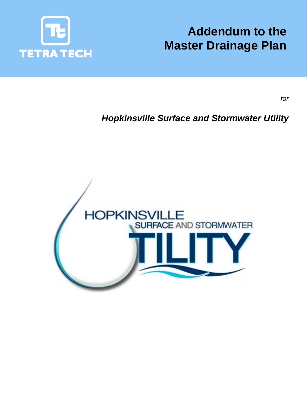

# **Addendum to the Master Drainage Plan**

*for* 

# *Hopkinsville Surface and Stormwater Utility*

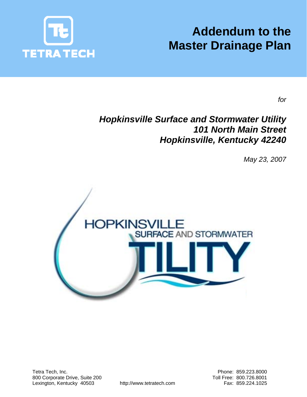

# **Addendum to the Master Drainage Plan**

*for* 

# *Hopkinsville Surface and Stormwater Utility 101 North Main Street Hopkinsville, Kentucky 42240*

*May 23, 2007* 

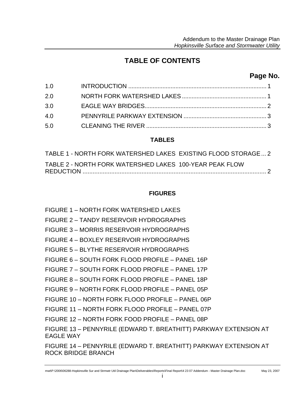## **TABLE OF CONTENTS**

## **Page No.**

| 1.0 |  |
|-----|--|
| 2.0 |  |
| 3.0 |  |
| 4.0 |  |
| 5.0 |  |
|     |  |

### **TABLES**

| TABLE 1 - NORTH FORK WATERSHED LAKES EXISTING FLOOD STORAGE 2 |  |
|---------------------------------------------------------------|--|
| TABLE 2 - NORTH FORK WATERSHED LAKES 100-YEAR PEAK FLOW       |  |

### **FIGURES**

FIGURE 1 – NORTH FORK WATERSHED LAKES FIGURE 2 – TANDY RESERVOIR HYDROGRAPHS FIGURE 3 – MORRIS RESERVOIR HYDROGRAPHS FIGURE 4 – BOXLEY RESERVOIR HYDROGRAPHS FIGURE 5 – BLYTHE RESERVOIR HYDROGRAPHS FIGURE 6 – SOUTH FORK FLOOD PROFILE – PANEL 16P FIGURE 7 – SOUTH FORK FLOOD PROFILE – PANEL 17P FIGURE 8 – SOUTH FORK FLOOD PROFILE – PANEL 18P FIGURE 9 – NORTH FORK FLOOD PROFILE – PANEL 05P FIGURE 10 – NORTH FORK FLOOD PROFILE – PANEL 06P FIGURE 11 – NORTH FORK FLOOD PROFILE – PANEL 07P FIGURE 12 – NORTH FORK FOOD PROFILE – PANEL 08P FIGURE 13 – PENNYRILE (EDWARD T. BREATHITT) PARKWAY EXTENSION AT EAGLE WAY FIGURE 14 – PENNYRILE (EDWARD T. BREATHITT) PARKWAY EXTENSION AT ROCK BRIDGE BRANCH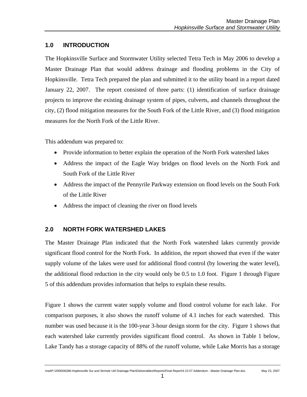#### **1.0 INTRODUCTION**

The Hopkinsville Surface and Stormwater Utility selected Tetra Tech in May 2006 to develop a Master Drainage Plan that would address drainage and flooding problems in the City of Hopkinsville. Tetra Tech prepared the plan and submitted it to the utility board in a report dated January 22, 2007. The report consisted of three parts: (1) identification of surface drainage projects to improve the existing drainage system of pipes, culverts, and channels throughout the city, (2) flood mitigation measures for the South Fork of the Little River, and (3) flood mitigation measures for the North Fork of the Little River.

This addendum was prepared to:

- Provide information to better explain the operation of the North Fork watershed lakes
- Address the impact of the Eagle Way bridges on flood levels on the North Fork and South Fork of the Little River
- Address the impact of the Pennyrile Parkway extension on flood levels on the South Fork of the Little River
- Address the impact of cleaning the river on flood levels

#### **2.0 NORTH FORK WATERSHED LAKES**

The Master Drainage Plan indicated that the North Fork watershed lakes currently provide significant flood control for the North Fork. In addition, the report showed that even if the water supply volume of the lakes were used for additional flood control (by lowering the water level), the additional flood reduction in the city would only be 0.5 to 1.0 foot. Figure 1 through Figure 5 of this addendum provides information that helps to explain these results.

Figure 1 shows the current water supply volume and flood control volume for each lake. For comparison purposes, it also shows the runoff volume of 4.1 inches for each watershed. This number was used because it is the 100-year 3-hour design storm for the city. Figure 1 shows that each watershed lake currently provides significant flood control. As shown in Table 1 below, Lake Tandy has a storage capacity of 88% of the runoff volume, while Lake Morris has a storage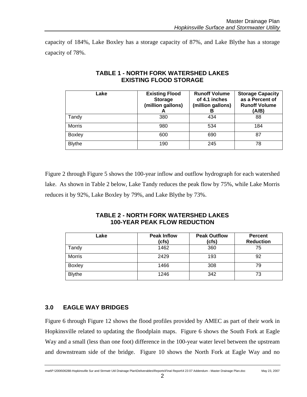capacity of 184%, Lake Boxley has a storage capacity of 87%, and Lake Blythe has a storage capacity of 78%.

| Lake          | <b>Existing Flood</b><br><b>Storage</b><br>(million gallons)<br>A | <b>Runoff Volume</b><br>of 4.1 inches<br>(million gallons)<br>в | <b>Storage Capacity</b><br>as a Percent of<br><b>Runoff Volume</b><br>(A/B) |
|---------------|-------------------------------------------------------------------|-----------------------------------------------------------------|-----------------------------------------------------------------------------|
| Tandy         | 380                                                               | 434                                                             | 88                                                                          |
| <b>Morris</b> | 980                                                               | 534                                                             | 184                                                                         |
| <b>Boxley</b> | 600                                                               | 690                                                             | 87                                                                          |
| <b>Blythe</b> | 190                                                               | 245                                                             | 78                                                                          |

#### **TABLE 1 - NORTH FORK WATERSHED LAKES EXISTING FLOOD STORAGE**

Figure 2 through Figure 5 shows the 100-year inflow and outflow hydrograph for each watershed lake. As shown in Table 2 below, Lake Tandy reduces the peak flow by 75%, while Lake Morris reduces it by 92%, Lake Boxley by 79%, and Lake Blythe by 73%.

#### **TABLE 2 - NORTH FORK WATERSHED LAKES 100-YEAR PEAK FLOW REDUCTION**

| Lake          | <b>Peak Inflow</b><br>(cfs) | <b>Peak Outflow</b><br>(cfs) | <b>Percent</b><br><b>Reduction</b> |
|---------------|-----------------------------|------------------------------|------------------------------------|
| Tandy         | 1462                        | 360                          | 75                                 |
| <b>Morris</b> | 2429                        | 193                          | 92                                 |
| <b>Boxley</b> | 1466                        | 308                          | 79                                 |
| <b>Blythe</b> | 1246                        | 342                          | 73                                 |

#### **3.0 EAGLE WAY BRIDGES**

Figure 6 through Figure 12 shows the flood profiles provided by AMEC as part of their work in Hopkinsville related to updating the floodplain maps. Figure 6 shows the South Fork at Eagle Way and a small (less than one foot) difference in the 100-year water level between the upstream and downstream side of the bridge. Figure 10 shows the North Fork at Eagle Way and no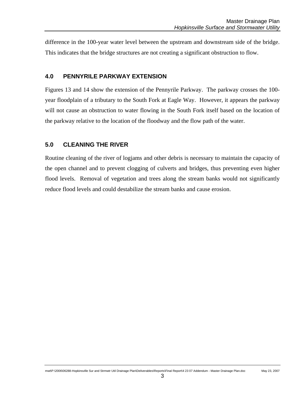difference in the 100-year water level between the upstream and downstream side of the bridge. This indicates that the bridge structures are not creating a significant obstruction to flow.

#### **4.0 PENNYRILE PARKWAY EXTENSION**

Figures 13 and 14 show the extension of the Pennyrile Parkway. The parkway crosses the 100 year floodplain of a tributary to the South Fork at Eagle Way. However, it appears the parkway will not cause an obstruction to water flowing in the South Fork itself based on the location of the parkway relative to the location of the floodway and the flow path of the water.

#### **5.0 CLEANING THE RIVER**

Routine cleaning of the river of logjams and other debris is necessary to maintain the capacity of the open channel and to prevent clogging of culverts and bridges, thus preventing even higher flood levels. Removal of vegetation and trees along the stream banks would not significantly reduce flood levels and could destabilize the stream banks and cause erosion.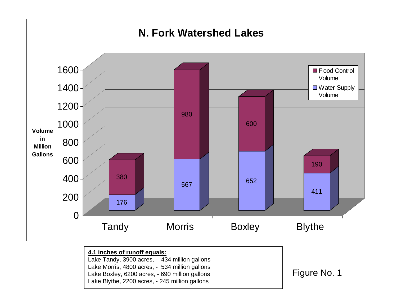

Lake Tandy, 3900 acres, - 434 million gallons Lake Morris, 4800 acres, - 534 million gallons Lake Boxley, 6200 acres, - 690 million gallons Lake Blythe, 2200 acres, - 245 million gallons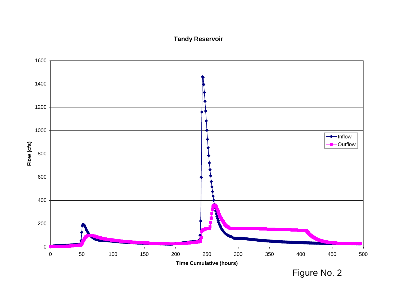### **Tandy Reservoir**

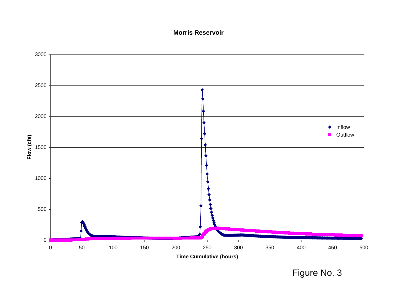#### **Morris Reservoir**

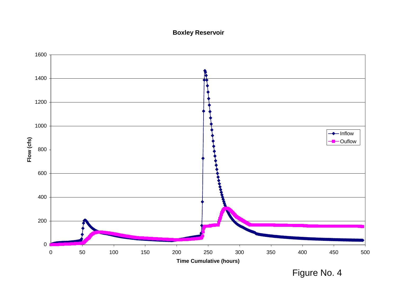### **Boxley Reservoir**



Figure No. 4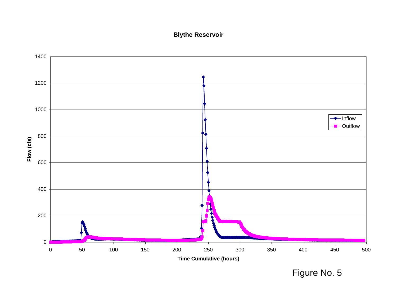### **Blythe Reservoir**

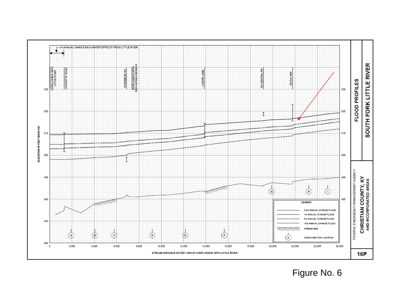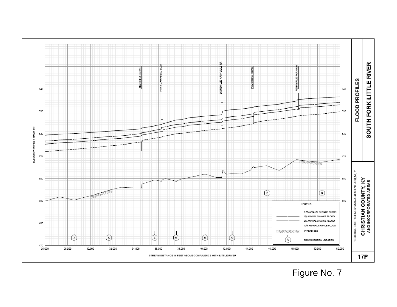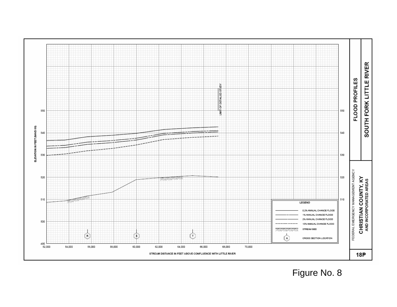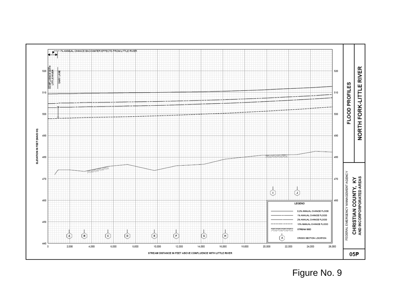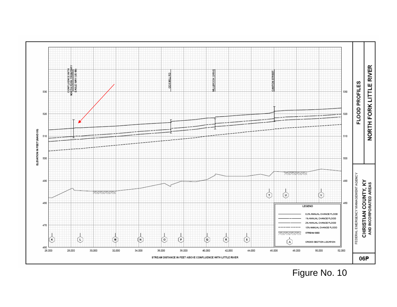

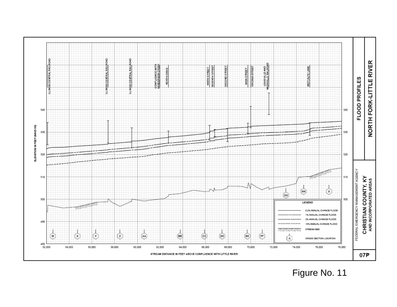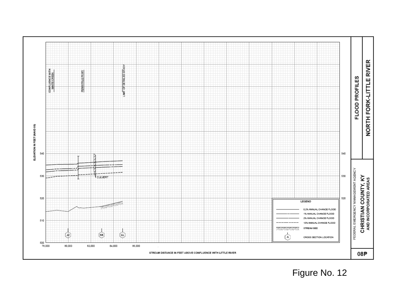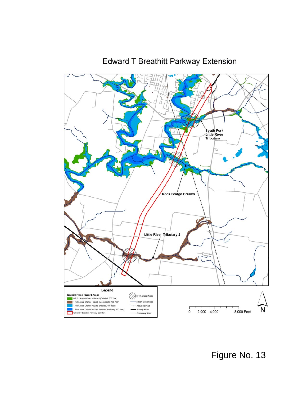

# Edward T Breathitt Parkway Extension

Figure No. 13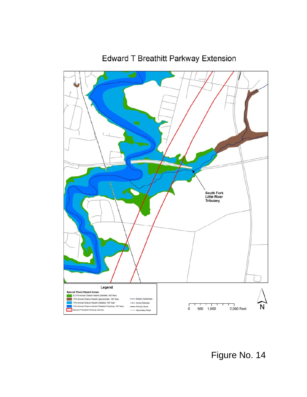

**Edward T Breathitt Parkway Extension**